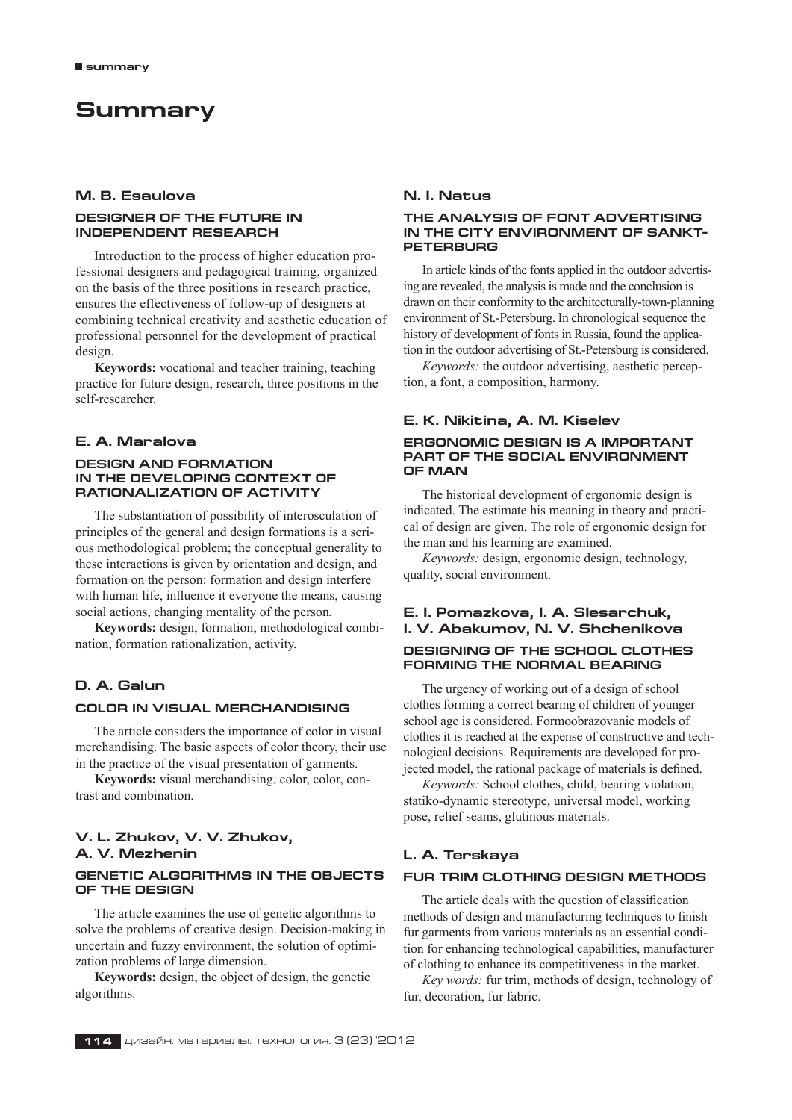# **Summary**

### **M. B. Esaulova**

### **DESIGNER OF THE FUTURE IN INDEPENDENT RESEARCH**

Introduction to the process of higher education professional designers and pedagogical training, organized on the basis of the three positions in research practice, ensures the effectiveness of follow-up of designers at combining technical creativity and aesthetic education of professional personnel for the development of practical design.

**Keywords:** vocational and teacher training, teaching practice for future design, research, three positions in the self-researcher.

### **E. A. Maralova**

### **DESIGN AND FORMATION IN THE DEVELOPING CONTEXT OF RATIONALIZATION OF ACTIVITY**

The substantiation of possibility of interosculation of principles of the general and design formations is a serious methodological problem; the conceptual generality to these interactions is given by orientation and design, and formation on the person: formation and design interfere with human life, influence it everyone the means, causing social actions, changing mentality of the person*.*

**Keywords:** design, formation, methodological combination, formation rationalization, activity.

### **D. A. Galun**

### **COLOR In Visual merchandising**

The article considers the importance of color in visual merchandising. The basic aspects of color theory, their use in the practice of the visual presentation of garments.

**Keywords:** visual merchandising, color, color, contrast and combination.

### **V. L. Zhukov, V. V. Zhukov, A. V. Mezhenin**

### **GENETIC ALGORITHMS IN THE OBJECTS OF THE DESIGN**

The article examines the use of genetic algorithms to solve the problems of creative design. Decision-making in uncertain and fuzzy environment, the solution of optimization problems of large dimension.

**Keywords:** design, the object of design, the genetic algorithms.

### **N. I. Natus**

### **THE ANALYSIS OF FONT ADVERTISING IN THE CITY ENVIRONMENT OF SANKT-PETERBURG**

In article kinds of the fonts applied in the outdoor advertising are revealed, the analysis is made and the conclusion is drawn on their conformity to the architecturally-town-planning environment of St.–Petersburg. In chronological sequence the history of development of fonts in Russia, found the application in the outdoor advertising of St.‑Petersburg is considered.

*Keywords:* the outdoor advertising, aesthetic perception, a font, a composition, harmony.

#### **E. K. Nikitina, A. M. Kiselev**

### **ERGONOMIC DESIGN IS A IMPORTANT PART OF THE SOCIAL ENVIRONMENT OF MAN**

The historical development of ergonomic design is indicated. The estimate his meaning in theory and practical of design are given. The role of ergonomic design for the man and his learning are examined.

*Keywords:* design, ergonomic design, technology, quality, social environment.

### **E. I. Pomazkova, I. A. Slesarchuk, I. V. Abakumov, N. V. Shchenikova DESIGNING OF THE SCHOOL CLOTHES FORMING THE NORMAL BEARING**

The urgency of working out of a design of school clothes forming a correct bearing of children of younger school age is considered. Formoobrazovanie models of clothes it is reached at the expense of constructive and technological decisions. Requirements are developed for projected model, the rational package of materials is defined.

*Keywords:* School clothes, child, bearing violation, statiko-dynamic stereotype, universal model, working pose, relief seams, glutinous materials.

### **L. A. Terskaya**

#### **FUR TRIM CLOTHING DESIGN METHODS**

The article deals with the question of classification methods of design and manufacturing techniques to finish fur garments from various materials as an essential condition for enhancing technological capabilities, manufacturer of clothing to enhance its competitiveness in the market.

*Key words:* fur trim, methods of design, technology of fur, decoration, fur fabric.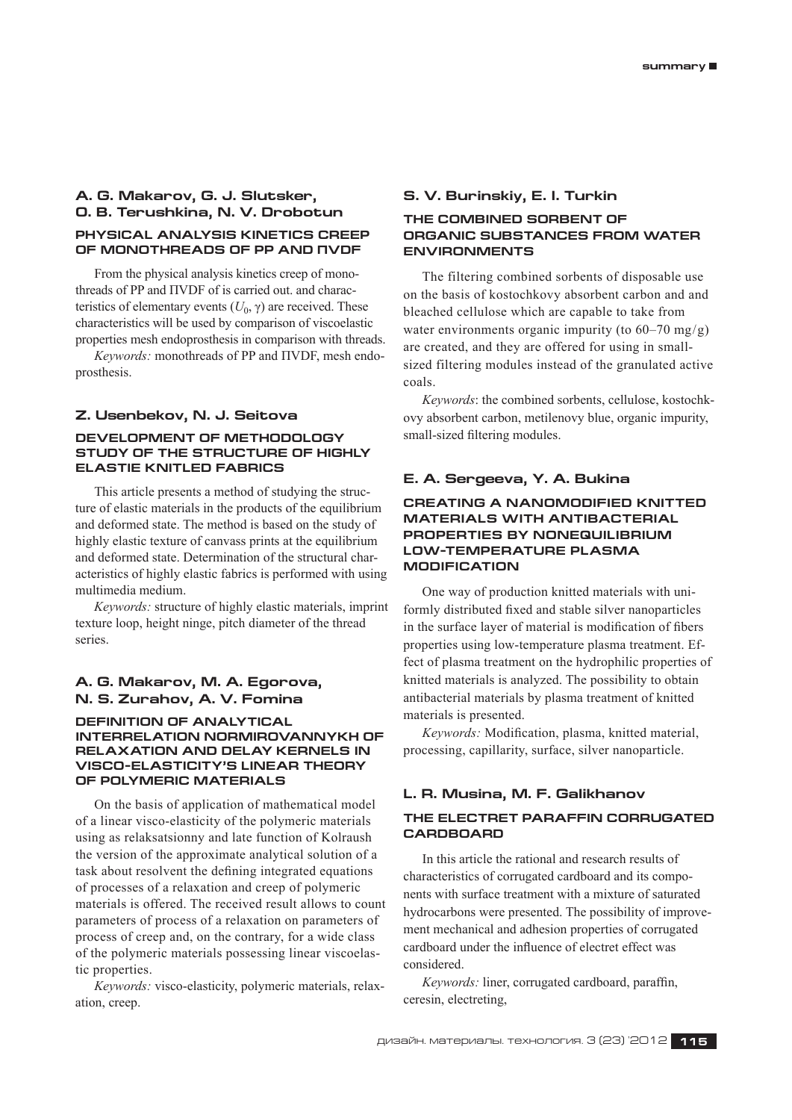## **A. G. Makarov, G. J. Slutsker, O. B. Terushkina, N. V. Drobotun Physical analysis kinetics creep**

**of monothreads of PP and ПVDF**

From the physical analysis kinetics creep of monothreads of PP and ПVDF of is carried out. and characteristics of elementary events  $(U_0, \gamma)$  are received. These characteristics will be used by comparison of viscoelastic properties mesh endoprosthesis in comparison with threads.

*Keywords:* monothreads of PP and ПVDF, mesh endoprosthesis.

### **Z. Usenbekov, N. J. Seitova**

### **Development of methodology study of the structure of highly elastie knitled fabrics**

This article presents a method of studying the structure of elastic materials in the products of the equilibrium and deformed state. The method is based on the study of highly elastic texture of canvass prints at the equilibrium and deformed state. Determination of the structural characteristics of highly elastic fabrics is performed with using multimedia medium.

*Keywords:* structure of highly elastic materials, imprint texture loop, height ninge, pitch diameter of the thread series.

### **A. G. Makarov, M. A. Egorova, N. S. Zurahov, A. V. Fomina**

### **DEFINITION OF ANALYTICAL INTERRELATION NORMIROVANNYKH OF RELAXATION AND DELAY KERNELS IN VISCO-ELASTICITY'S LINEAR THEORY OF POLYMERIC MATERIALS**

On the basis of application of mathematical model of a linear visco-elasticity of the polymeric materials using as relaksatsionny and late function of Kolraush the version of the approximate analytical solution of a task about resolvent the defining integrated equations of processes of a relaxation and creep of polymeric materials is offered. The received result allows to count parameters of process of a relaxation on parameters of process of creep and, on the contrary, for a wide class of the polymeric materials possessing linear viscoelastic properties.

*Keywords:* visco-elasticity, polymeric materials, relaxation, creep.

### **S. V. Burinskiy, E. I. Turkin**

### **THE COMBINED SORBENT OF ORGANIC SUBSTANCES FROM WATER ENVIRONMENTS**

The filtering combined sorbents of disposable use on the basis of kostochkovy absorbent carbon and and bleached cellulose which are capable to take from water environments organic impurity (to 60–70 mg/g) are created, and they are offered for using in smallsized filtering modules instead of the granulated active coals.

*Keywords*: the combined sorbents, cellulose, kostochkovy absorbent carbon, metilenovy blue, organic impurity, small-sized filtering modules.

### **E. A. Sergeeva, Y. A. Bukina**

### **CREATING A NANOMODIFIED KNITTED MATERIALS WITH ANTIBACTERIAL PROPERTIES BY NONEQUILIBRIUM LOW-TEMPERATURE PLASMA MODIFICATION**

One way of production knitted materials with uniformly distributed fixed and stable silver nanoparticles in the surface layer of material is modification of fibers properties using low-temperature plasma treatment. Effect of plasma treatment on the hydrophilic properties of knitted materials is analyzed. The possibility to obtain antibacterial materials by plasma treatment of knitted materials is presented.

*Keywords:* Modification, plasma, knitted material, processing, capillarity, surface, silver nanoparticle.

# **L. R. Musina, M. F. Galikhanov THE ELECTRET PARAFFIN CORRUGATED CARDBOARD**

In this article the rational and research results of characteristics of corrugated cardboard and its components with surface treatment with a mixture of saturated hydrocarbons were presented. The possibility of improvement mechanical and adhesion properties of corrugated cardboard under the influence of electret effect was considered.

*Keywords:* liner, corrugated cardboard, paraffin, ceresin, electreting,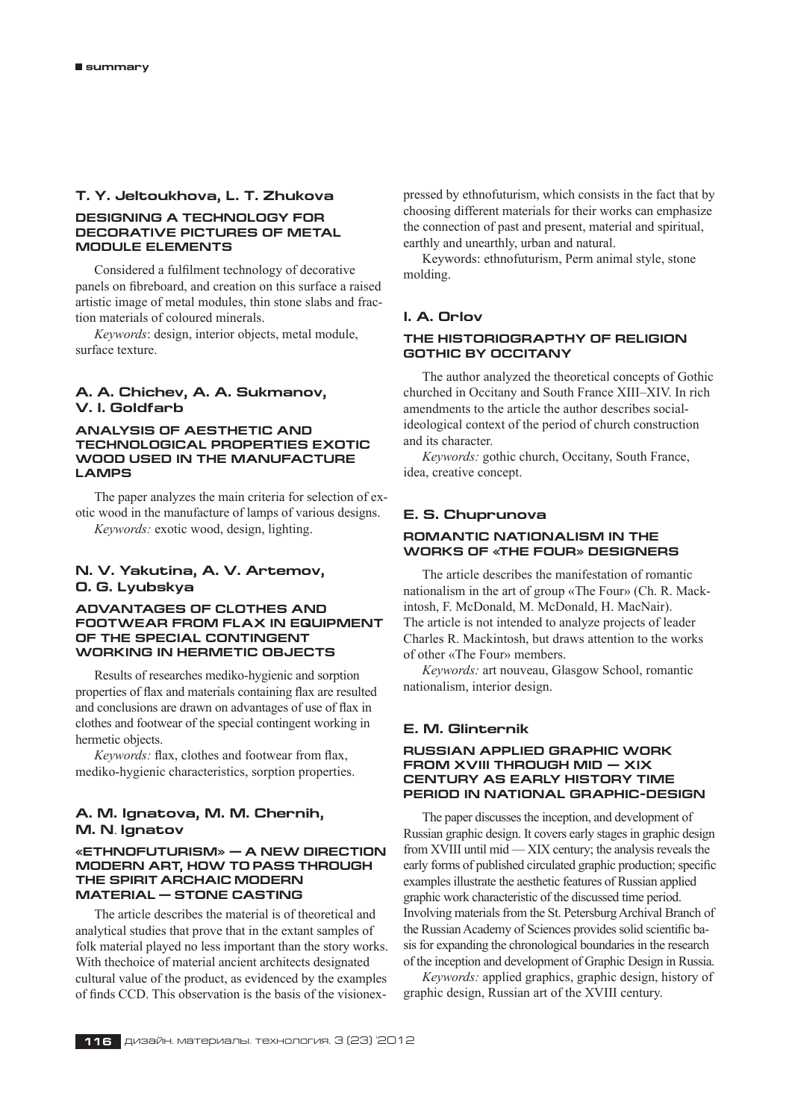### **T. Y. Jeltoukhova, L. T. Zhukova**

### **Designing a technology for decorative pictures of metal module elements**

Considered a fulfilment technology of decorative panels on fibreboard, and creation on this surface a raised artistic image of metal modules, thin stone slabs and fraction materials of coloured minerals.

*Keywords*: design, interior objects, metal module, surface texture.

### **A. A. Chichev, A. A. Sukmanov, V. I. Goldfarb**

### **Analysis of aesthetic and technological properties exotic wood used in the manufacture LAMPS**

The paper analyzes the main criteria for selection of exotic wood in the manufacture of lamps of various designs. *Keywords:* exotic wood, design, lighting.

### **N. V. Yakutina, A. V. Artemov, O. G. Lyubskya**

### **ADVANTAGES OF CLOTHES AND FOOTWEAR FROM FLAX IN EQUIPMENT OF THE SPECIAL CONTINGENT WORKING IN HERMETIC OBJECTS**

Results of researches mediko-hygienic and sorption properties of flax and materials containing flax are resulted and conclusions are drawn on advantages of use of flax in clothes and footwear of the special contingent working in hermetic objects.

*Keywords:* flax, clothes and footwear from flax, mediko-hygienic characteristics, sorption properties.

### **A. M. Ignatova, M. M. Chernih, M. N**. **Ignatov**

### **«ETHNOFUTURISM» — A NEW DIRECTION MODERN ART, HOW TO PASS THROUGH THE SPIRIT ARCHAIC MODERN MATERIAL — STONE CASTING**

The article describes the material is of theoretical and analytical studies that prove that in the extant samples of folk material played no less important than the story works. With thechoice of material ancient architects designated cultural value of the product, as evidenced by the examples of finds CCD. This observation is the basis of the visionexpressed by ethnofuturism, which consists in the fact that by choosing different materials for their works can emphasize the connection of past and present, material and spiritual, earthly and unearthly, urban and natural.

Keywords: ethnofuturism, Perm animal style, stone molding.

### **I. A. Orlov**

### **The historiograpthy of Religion Gothic by Occitany**

The author analyzed the theoretical concepts of Gothic churched in Occitany and South France XIII–XIV. In rich amendments to the article the author describes socialideological context of the period of church construction and its character.

*Keywords:* gothic church, Occitany, South France, idea, creative concept.

### **E. S. Chuprunova**

### **ROMANTIC NATIONALISM IN THE WORKS OF «THE FOUR» DESIGNERS**

The article describes the manifestation of romantic nationalism in the art of group «The Four» (Ch. R. Mackintosh, F. McDonald, M. McDonald, H. MacNair). The article is not intended to analyze projects of leader Charles R. Mackintosh, but draws attention to the works of other «The Four» members.

*Keywords:* art nouveau, Glasgow School, romantic nationalism, interior design.

### **E. M. Glinternik**

### **Russian Applied Graphic Work from XVIII Through mid — XIX century as Early History Time Period in National Graphic-Design**

The paper discusses the inception, and development of Russian graphic design. It covers early stages in graphic design from XVIII until mid — XIX century; the analysis reveals the early forms of published circulated graphic production; specific examples illustrate the aesthetic features of Russian applied graphic work characteristic of the discussed time period. Involving materials from the St. Petersburg Archival Branch of the Russian Academy of Sciences provides solid scientific basis for expanding the chronological boundaries in the research of the inception and development of Graphic Design in Russia.

*Keywords:* applied graphics, graphic design, history of graphic design, Russian art of the XVIII century.